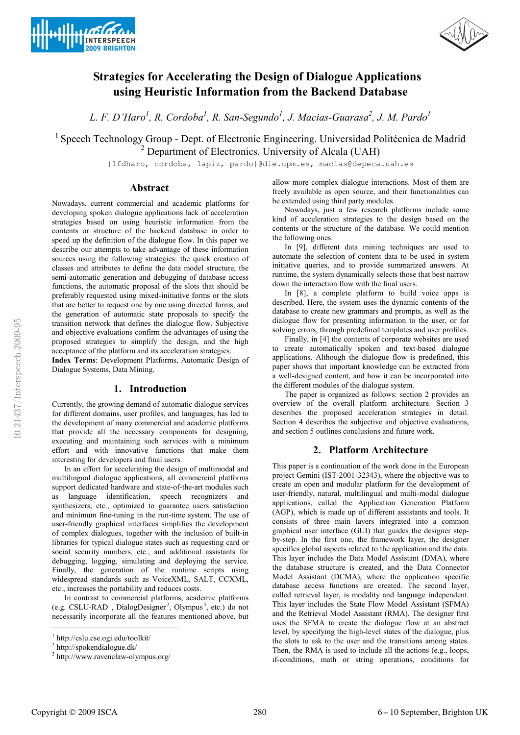



# **Strategies for Accelerating the Design of Dialogue Applications using Heuristic Information from the Backend Database**

L. F. D'Haro<sup>1</sup>, R. Cordoba<sup>1</sup>, R. San-Segundo<sup>1</sup>, J. Macias-Guarasa<sup>2</sup>, J. M. Pardo<sup>1</sup>

<sup>1</sup> Speech Technology Group - Dept. of Electronic Engineering. Universidad Politécnica de Madrid  $<sup>2</sup>$  Department of Electronics. University of Alcala (UAH)</sup>

{lfdharo, cordoba, lapiz, pardo}@die.upm.es, macias@depeca.uah.es

## **Abstract**

Nowadays, current commercial and academic platforms for developing spoken dialogue applications lack of acceleration strategies based on using heuristic information from the contents or structure of the backend database in order to speed up the definition of the dialogue flow. In this paper we describe our attempts to take advantage of these information sources using the following strategies: the quick creation of classes and attributes to define the data model structure, the semi-automatic generation and debugging of database access functions, the automatic proposal of the slots that should be preferably requested using mixed-initiative forms or the slots that are better to request one by one using directed forms, and the generation of automatic state proposals to specify the transition network that defines the dialogue flow. Subjective and objective evaluations confirm the advantages of using the proposed strategies to simplify the design, and the high acceptance of the platform and its acceleration strategies.

**Index Terms**: Development Platforms, Automatic Design of Dialogue Systems, Data Mining.

## **1. Introduction**

Currently, the growing demand of automatic dialogue services for different domains, user profiles, and languages, has led to the development of many commercial and academic platforms that provide all the necessary components for designing, executing and maintaining such services with a minimum effort and with innovative functions that make them interesting for developers and final users.

In an effort for accelerating the design of multimodal and multilingual dialogue applications, all commercial platforms support dedicated hardware and state-of-the-art modules such as language identification, speech recognizers and synthesizers, etc., optimized to guarantee users satisfaction and minimum fine-tuning in the run-time system. The use of user-friendly graphical interfaces simplifies the development of complex dialogues, together with the inclusion of built-in libraries for typical dialogue states such as requesting card or social security numbers, etc., and additional assistants for debugging, logging, simulating and deploying the service. Finally, the generation of the runtime scripts using widespread standards such as VoiceXML, SALT, CCXML, etc., increases the portability and reduces costs.

In contrast to commercial platforms, academic platforms (e.g. CSLU-RAD<sup>1</sup>, DialogDesigner<sup>2</sup>, Olympus<sup>3</sup>, etc.) do not necessarily incorporate all the features mentioned above, but

allow more complex dialogue interactions. Most of them are freely available as open source, and their functionalities can be extended using third party modules.

Nowadays, just a few research platforms include some kind of acceleration strategies to the design based on the contents or the structure of the database. We could mention the following ones.

In [9], different data mining techniques are used to automate the selection of content data to be used in system initiative queries, and to provide summarized answers. At runtime, the system dynamically selects those that best narrow down the interaction flow with the final users.

In [8], a complete platform to build voice apps is described. Here, the system uses the dynamic contents of the database to create new grammars and prompts, as well as the dialogue flow for presenting information to the user, or for solving errors, through predefined templates and user profiles.

Finally, in [4] the contents of corporate websites are used to create automatically spoken and text-based dialogue applications. Although the dialogue flow is predefined, this paper shows that important knowledge can be extracted from a well-designed content, and how it can be incorporated into the different modules of the dialogue system.

The paper is organized as follows: section 2 provides an overview of the overall platform architecture. Section 3 describes the proposed acceleration strategies in detail. Section 4 describes the subjective and objective evaluations, and section 5 outlines conclusions and future work.

## **2. Platform Architecture**

This paper is a continuation of the work done in the European project Gemini (IST-2001-32343), where the objective was to create an open and modular platform for the development of user-friendly, natural, multilingual and multi-modal dialogue applications, called the Application Generation Platform (AGP), which is made up of different assistants and tools. It consists of three main layers integrated into a common graphical user interface (GUI) that guides the designer stepby-step. In the first one, the framework layer, the designer specifies global aspects related to the application and the data. This layer includes the Data Model Assistant (DMA), where the database structure is created, and the Data Connector Model Assistant (DCMA), where the application specific database access functions are created. The second layer, called retrieval layer, is modality and language independent. This layer includes the State Flow Model Assistant (SFMA) and the Retrieval Model Assistant (RMA). The designer first uses the SFMA to create the dialogue flow at an abstract level, by specifying the high-level states of the dialogue, plus the slots to ask to the user and the transitions among states. Then, the RMA is used to include all the actions (e.g., loops, if-conditions, math or string operations, conditions for

 $\overline{a}$ 

<sup>&</sup>lt;sup>1</sup> http://cslu.cse.ogi.edu/toolkit/<br><sup>2</sup> http://spokendialogue.dk/<br><sup>3</sup> http://www.ravenclaw-olympus.org/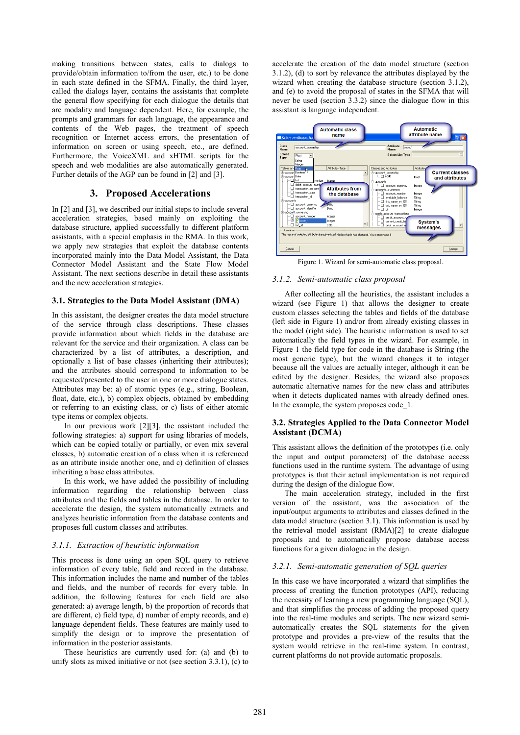making transitions between states, calls to dialogs to provide/obtain information to/from the user, etc.) to be done in each state defined in the SFMA. Finally, the third layer, called the dialogs layer, contains the assistants that complete the general flow specifying for each dialogue the details that are modality and language dependent. Here, for example, the prompts and grammars for each language, the appearance and contents of the Web pages, the treatment of speech recognition or Internet access errors, the presentation of information on screen or using speech, etc., are defined. Furthermore, the VoiceXML and xHTML scripts for the speech and web modalities are also automatically generated. Further details of the AGP can be found in [2] and [3].

## **3. Proposed Accelerations**

In [2] and [3], we described our initial steps to include several acceleration strategies, based mainly on exploiting the database structure, applied successfully to different platform assistants, with a special emphasis in the RMA. In this work, we apply new strategies that exploit the database contents incorporated mainly into the Data Model Assistant, the Data Connector Model Assistant and the State Flow Model Assistant. The next sections describe in detail these assistants and the new acceleration strategies.

#### **3.1. Strategies to the Data Model Assistant (DMA)**

In this assistant, the designer creates the data model structure of the service through class descriptions. These classes provide information about which fields in the database are relevant for the service and their organization. A class can be characterized by a list of attributes, a description, and optionally a list of base classes (inheriting their attributes); and the attributes should correspond to information to be requested/presented to the user in one or more dialogue states. Attributes may be: a) of atomic types (e.g., string, Boolean, float, date, etc.), b) complex objects, obtained by embedding or referring to an existing class, or c) lists of either atomic type items or complex objects.

In our previous work [2][3], the assistant included the following strategies: a) support for using libraries of models, which can be copied totally or partially, or even mix several classes, b) automatic creation of a class when it is referenced as an attribute inside another one, and c) definition of classes inheriting a base class attributes.

In this work, we have added the possibility of including information regarding the relationship between class attributes and the fields and tables in the database. In order to accelerate the design, the system automatically extracts and analyzes heuristic information from the database contents and proposes full custom classes and attributes.

#### *3.1.1. Extraction of heuristic information*

This process is done using an open SQL query to retrieve information of every table, field and record in the database. This information includes the name and number of the tables and fields, and the number of records for every table. In addition, the following features for each field are also generated: a) average length, b) the proportion of records that are different, c) field type, d) number of empty records, and e) language dependent fields. These features are mainly used to simplify the design or to improve the presentation of information in the posterior assistants.

These heuristics are currently used for: (a) and (b) to unify slots as mixed initiative or not (see section 3.3.1), (c) to accelerate the creation of the data model structure (section 3.1.2), (d) to sort by relevance the attributes displayed by the wizard when creating the database structure (section 3.1.2), and (e) to avoid the proposal of states in the SFMA that will never be used (section 3.3.2) since the dialogue flow in this assistant is language independent.



Figure 1. Wizard for semi-automatic class proposal.

#### *3.1.2. Semi-automatic class proposal*

After collecting all the heuristics, the assistant includes a wizard (see Figure 1) that allows the designer to create custom classes selecting the tables and fields of the database (left side in Figure 1) and/or from already existing classes in the model (right side). The heuristic information is used to set automatically the field types in the wizard. For example, in Figure 1 the field type for code in the database is String (the most generic type), but the wizard changes it to integer because all the values are actually integer, although it can be edited by the designer. Besides, the wizard also proposes automatic alternative names for the new class and attributes when it detects duplicated names with already defined ones. In the example, the system proposes code 1.

#### **3.2. Strategies Applied to the Data Connector Model Assistant (DCMA)**

This assistant allows the definition of the prototypes (i.e. only the input and output parameters) of the database access functions used in the runtime system. The advantage of using prototypes is that their actual implementation is not required during the design of the dialogue flow.

The main acceleration strategy, included in the first version of the assistant, was the association of the input/output arguments to attributes and classes defined in the data model structure (section 3.1). This information is used by the retrieval model assistant (RMA)[2] to create dialogue proposals and to automatically propose database access functions for a given dialogue in the design.

#### *3.2.1. Semi-automatic generation of SQL queries*

In this case we have incorporated a wizard that simplifies the process of creating the function prototypes (API), reducing the necessity of learning a new programming language (SQL), and that simplifies the process of adding the proposed query into the real-time modules and scripts. The new wizard semiautomatically creates the SQL statements for the given prototype and provides a pre-view of the results that the system would retrieve in the real-time system. In contrast, current platforms do not provide automatic proposals.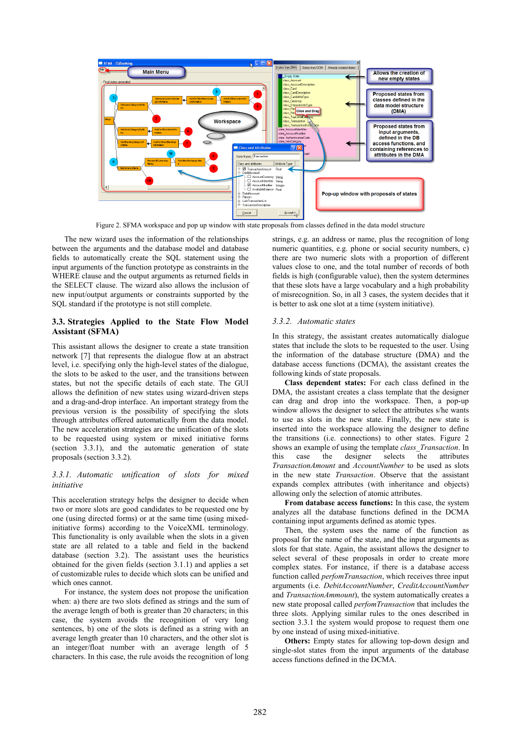

Figure 2. SFMA workspace and pop up window with state proposals from classes defined in the data model structure

The new wizard uses the information of the relationships between the arguments and the database model and database fields to automatically create the SQL statement using the input arguments of the function prototype as constraints in the WHERE clause and the output arguments as returned fields in the SELECT clause. The wizard also allows the inclusion of new input/output arguments or constraints supported by the SQL standard if the prototype is not still complete.

#### **3.3. Strategies Applied to the State Flow Model Assistant (SFMA)**

This assistant allows the designer to create a state transition network [7] that represents the dialogue flow at an abstract level, i.e. specifying only the high-level states of the dialogue, the slots to be asked to the user, and the transitions between states, but not the specific details of each state. The GUI allows the definition of new states using wizard-driven steps and a drag-and-drop interface. An important strategy from the previous version is the possibility of specifying the slots through attributes offered automatically from the data model. The new acceleration strategies are the unification of the slots to be requested using system or mixed initiative forms (section 3.3.1), and the automatic generation of state proposals (section 3.3.2).

#### *3.3.1. Automatic unification of slots for mixed initiative*

This acceleration strategy helps the designer to decide when two or more slots are good candidates to be requested one by one (using directed forms) or at the same time (using mixedinitiative forms) according to the VoiceXML terminology. This functionality is only available when the slots in a given state are all related to a table and field in the backend database (section 3.2). The assistant uses the heuristics obtained for the given fields (section 3.1.1) and applies a set of customizable rules to decide which slots can be unified and which ones cannot.

For instance, the system does not propose the unification when: a) there are two slots defined as strings and the sum of the average length of both is greater than 20 characters; in this case, the system avoids the recognition of very long sentences, b) one of the slots is defined as a string with an average length greater than 10 characters, and the other slot is an integer/float number with an average length of 5 characters. In this case, the rule avoids the recognition of long

strings, e.g. an address or name, plus the recognition of long numeric quantities, e.g. phone or social security numbers, c) there are two numeric slots with a proportion of different values close to one, and the total number of records of both fields is high (configurable value), then the system determines that these slots have a large vocabulary and a high probability of misrecognition. So, in all 3 cases, the system decides that it is better to ask one slot at a time (system initiative).

#### *3.3.2. Automatic states*

In this strategy, the assistant creates automatically dialogue states that include the slots to be requested to the user. Using the information of the database structure (DMA) and the database access functions (DCMA), the assistant creates the following kinds of state proposals.

**Class dependent states:** For each class defined in the DMA, the assistant creates a class template that the designer can drag and drop into the workspace. Then, a pop-up window allows the designer to select the attributes s/he wants to use as slots in the new state. Finally, the new state is inserted into the workspace allowing the designer to define the transitions (i.e. connections) to other states. Figure 2 shows an example of using the template *class\_Transaction*. In this case the designer selects the attributes designer *TransactionAmount* and *AccountNumber* to be used as slots in the new state *Transaction*. Observe that the assistant expands complex attributes (with inheritance and objects) allowing only the selection of atomic attributes.

**From database access functions:** In this case, the system analyzes all the database functions defined in the DCMA containing input arguments defined as atomic types.

Then, the system uses the name of the function as proposal for the name of the state, and the input arguments as slots for that state. Again, the assistant allows the designer to select several of these proposals in order to create more complex states. For instance, if there is a database access function called *perfomTransaction*, which receives three input arguments (i.e. *DebitAccountNumber*, *CreditAccountNumber* and *TransactionAmmount*), the system automatically creates a new state proposal called *perfomTransaction* that includes the three slots. Applying similar rules to the ones described in section 3.3.1 the system would propose to request them one by one instead of using mixed-initiative.

**Others:** Empty states for allowing top-down design and single-slot states from the input arguments of the database access functions defined in the DCMA.